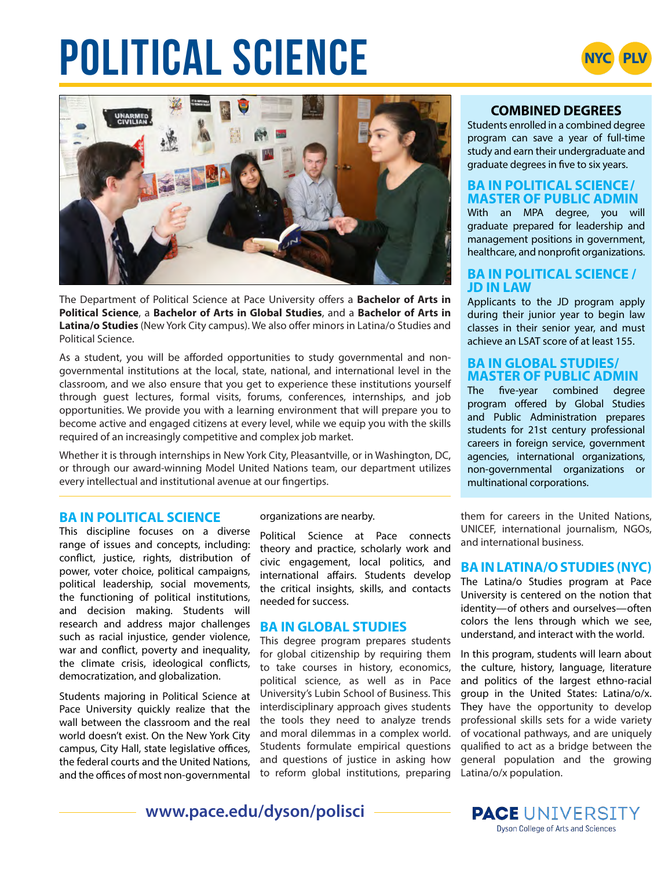# **POLITICAL SCIENCE**





The Department of Political Science at Pace University offers a **Bachelor of Arts in Political Science**, a **Bachelor of Arts in Global Studies**, and a **Bachelor of Arts in Latina/o Studies** (New York City campus). We also offer minors in Latina/o Studies and Political Science.

As a student, you will be afforded opportunities to study governmental and nongovernmental institutions at the local, state, national, and international level in the classroom, and we also ensure that you get to experience these institutions yourself through guest lectures, formal visits, forums, conferences, internships, and job opportunities. We provide you with a learning environment that will prepare you to become active and engaged citizens at every level, while we equip you with the skills required of an increasingly competitive and complex job market.

Whether it is through internships in New York City, Pleasantville, or in Washington, DC, or through our award-winning Model United Nations team, our department utilizes every intellectual and institutional avenue at our fingertips.

#### **BA IN POLITICAL SCIENCE**

This discipline focuses on a diverse range of issues and concepts, including: conflict, justice, rights, distribution of power, voter choice, political campaigns, political leadership, social movements, the functioning of political institutions, and decision making. Students will research and address major challenges such as racial injustice, gender violence, war and conflict, poverty and inequality, the climate crisis, ideological conflicts, democratization, and globalization.

Students majoring in Political Science at Pace University quickly realize that the wall between the classroom and the real world doesn't exist. On the New York City campus, City Hall, state legislative offices, the federal courts and the United Nations, and the offices of most non-governmental

#### organizations are nearby.

Political Science at Pace connects theory and practice, scholarly work and civic engagement, local politics, and international affairs. Students develop the critical insights, skills, and contacts needed for success.

#### **BA IN GLOBAL STUDIES**

This degree program prepares students for global citizenship by requiring them to take courses in history, economics, political science, as well as in Pace University's Lubin School of Business. This interdisciplinary approach gives students the tools they need to analyze trends and moral dilemmas in a complex world. Students formulate empirical questions and questions of justice in asking how to reform global institutions, preparing

## **COMBINED DEGREES**

Students enrolled in a combined degree program can save a year of full-time study and earn their undergraduate and graduate degrees in five to six years.

#### **BA IN POLITICAL SCIENCE/ MASTER OF PUBLIC ADMIN**

With an MPA degree, you will graduate prepared for leadership and management positions in government, healthcare, and nonprofit organizations.

#### **BA IN POLITICAL SCIENCE / JD IN LAW**

Applicants to the JD program apply during their junior year to begin law classes in their senior year, and must achieve an LSAT score of at least 155.

#### **BA IN GLOBAL STUDIES/ MASTER OF PUBLIC ADMIN**

The five-year combined degree program offered by Global Studies and Public Administration prepares students for 21st century professional careers in foreign service, government agencies, international organizations, non-governmental organizations or multinational corporations.

them for careers in the United Nations, UNICEF, international journalism, NGOs, and international business.

#### **BA IN LATINA/O STUDIES (NYC)**

The Latina/o Studies program at Pace University is centered on the notion that identity—of others and ourselves—often colors the lens through which we see, understand, and interact with the world.

In this program, students will learn about the culture, history, language, literature and politics of the largest ethno-racial group in the United States: Latina/o/x. They have the opportunity to develop professional skills sets for a wide variety of vocational pathways, and are uniquely qualified to act as a bridge between the general population and the growing Latina/o/x population.

**www.pace.edu/dyson/polisci**